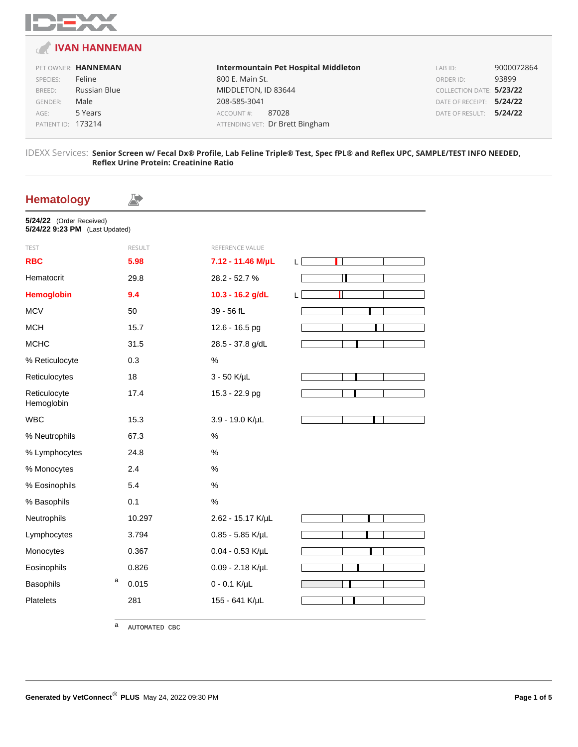

### **IVAN HANNEMAN**

#### PET OWNER: **HANNEMAN** SPECIES: Feline

| BREED:             | Russian Blue |
|--------------------|--------------|
| <b>GENDER:</b>     | Male         |
| AGE:               | 5 Years      |
| PATIENT ID: 173214 |              |
|                    |              |

**Intermountain Pet Hospital Middleton** 800 E. Main St. MIDDLETON, ID 83644 208-585-3041 ACCOUNT #: 87028 ATTENDING VET: Dr Brett Bingham

LAB ID: 9000072864 ORDER ID: 93899 COLLECTION DATE: **5/23/22** DATE OF RECEIPT: **5/24/22** DATE OF RESULT: **5/24/22**

#### IDEXX Services: **Senior Screen w/ Fecal Dx® Profile, Lab Feline Triple® Test, Spec fPL® and Reflex UPC, SAMPLE/TEST INFO NEEDED, Reflex Urine Protein: Creatinine Ratio**

### **Hematology**

| 5/24/22 (Order Received) |                                |  |
|--------------------------|--------------------------------|--|
|                          | 5/24/22 9:23 PM (Last Updated) |  |

A.

| <b>TEST</b>                | <b>RESULT</b> | REFERENCE VALUE      |    |
|----------------------------|---------------|----------------------|----|
| <b>RBC</b>                 | 5.98          | 7.12 - 11.46 M/µL    | L. |
| Hematocrit                 | 29.8          | 28.2 - 52.7 %        |    |
| <b>Hemoglobin</b>          | 9.4           | 10.3 - 16.2 g/dL     | L  |
| <b>MCV</b>                 | 50            | 39 - 56 fL           |    |
| <b>MCH</b>                 | 15.7          | 12.6 - 16.5 pg       |    |
| <b>MCHC</b>                | 31.5          | 28.5 - 37.8 g/dL     |    |
| % Reticulocyte             | 0.3           | $\%$                 |    |
| Reticulocytes              | 18            | $3 - 50$ K/ $\mu$ L  |    |
| Reticulocyte<br>Hemoglobin | 17.4          | 15.3 - 22.9 pg       |    |
| <b>WBC</b>                 | 15.3          | 3.9 - 19.0 K/µL      |    |
| % Neutrophils              | 67.3          | $\%$                 |    |
| % Lymphocytes              | 24.8          | %                    |    |
| % Monocytes                | 2.4           | %                    |    |
| % Eosinophils              | 5.4           | $\%$                 |    |
| % Basophils                | 0.1           | $\%$                 |    |
| Neutrophils                | 10.297        | 2.62 - 15.17 K/µL    |    |
| Lymphocytes                | 3.794         | $0.85 - 5.85$ K/µL   |    |
| Monocytes                  | 0.367         | $0.04 - 0.53$ K/µL   |    |
| Eosinophils                | 0.826         | $0.09 - 2.18$ K/µL   |    |
| а<br>Basophils             | 0.015         | $0 - 0.1$ K/ $\mu$ L |    |
| <b>Platelets</b>           | 281           | 155 - 641 K/µL       |    |
|                            |               |                      |    |

a AUTOMATED CBC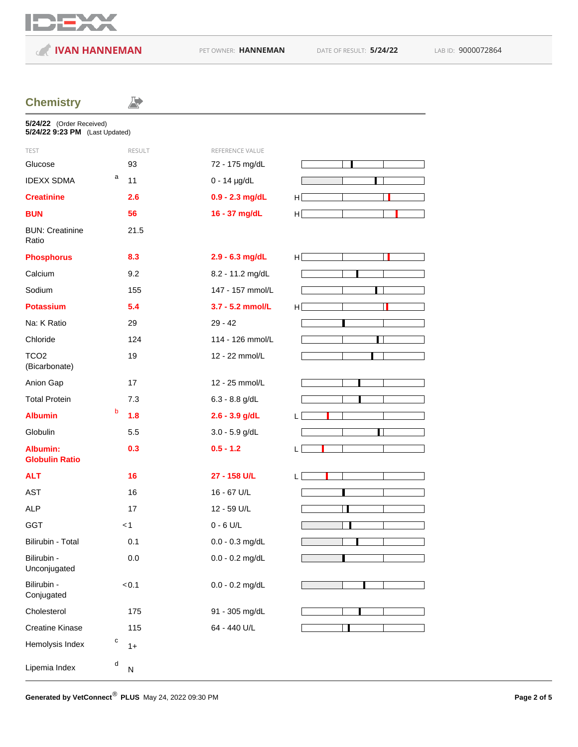

**IVAN HANNEMAN** PET OWNER: **HANNEMAN** DATE OF RESULT: **5/24/22** LAB ID: 9000072864

 $\Rightarrow$ 

## **Chemistry**

| 5/24/22 (Order Received)<br>5/24/22 9:23 PM (Last Updated) |                |                   |    |
|------------------------------------------------------------|----------------|-------------------|----|
| <b>TEST</b>                                                | <b>RESULT</b>  | REFERENCE VALUE   |    |
| Glucose                                                    | 93             | 72 - 175 mg/dL    |    |
| <b>IDEXX SDMA</b>                                          | а<br>11        | $0 - 14$ µg/dL    |    |
| <b>Creatinine</b>                                          | 2.6            | $0.9 - 2.3$ mg/dL | H  |
| <b>BUN</b>                                                 | 56             | 16 - 37 mg/dL     | H  |
| <b>BUN: Creatinine</b><br>Ratio                            | 21.5           |                   |    |
| <b>Phosphorus</b>                                          | 8.3            | 2.9 - 6.3 mg/dL   | ΗI |
| Calcium                                                    | 9.2            | 8.2 - 11.2 mg/dL  |    |
| Sodium                                                     | 155            | 147 - 157 mmol/L  |    |
| <b>Potassium</b>                                           | 5.4            | 3.7 - 5.2 mmol/L  | H  |
| Na: K Ratio                                                | 29             | $29 - 42$         |    |
| Chloride                                                   | 124            | 114 - 126 mmol/L  |    |
| TCO <sub>2</sub><br>(Bicarbonate)                          | 19             | 12 - 22 mmol/L    |    |
| Anion Gap                                                  | 17             | 12 - 25 mmol/L    |    |
| <b>Total Protein</b>                                       | 7.3            | $6.3 - 8.8$ g/dL  |    |
| <b>Albumin</b>                                             | b<br>1.8       | $2.6 - 3.9$ g/dL  | L  |
| Globulin                                                   | 5.5            | $3.0 - 5.9$ g/dL  |    |
| <b>Albumin:</b><br><b>Globulin Ratio</b>                   | 0.3            | $0.5 - 1.2$       | L  |
| <b>ALT</b>                                                 | 16             | 27 - 158 U/L      | L. |
| <b>AST</b>                                                 | 16             | 16 - 67 U/L       |    |
| <b>ALP</b>                                                 | 17             | 12 - 59 U/L       |    |
| <b>GGT</b>                                                 | < 1            | $0 - 6$ U/L       |    |
| Bilirubin - Total                                          | 0.1            | $0.0 - 0.3$ mg/dL |    |
| Bilirubin -<br>Unconjugated                                | 0.0            | $0.0 - 0.2$ mg/dL |    |
| Bilirubin -<br>Conjugated                                  | < 0.1          | $0.0 - 0.2$ mg/dL |    |
| Cholesterol                                                | 175            | 91 - 305 mg/dL    |    |
| <b>Creatine Kinase</b>                                     | 115            | 64 - 440 U/L      |    |
| Hemolysis Index                                            | с<br>$1+$      |                   |    |
| Lipemia Index                                              | d<br>${\sf N}$ |                   |    |

Generated by VetConnect<sup>®</sup> PLUS May 24, 2022 09:30 PM **Page 2 of 5 Page 2 of 5**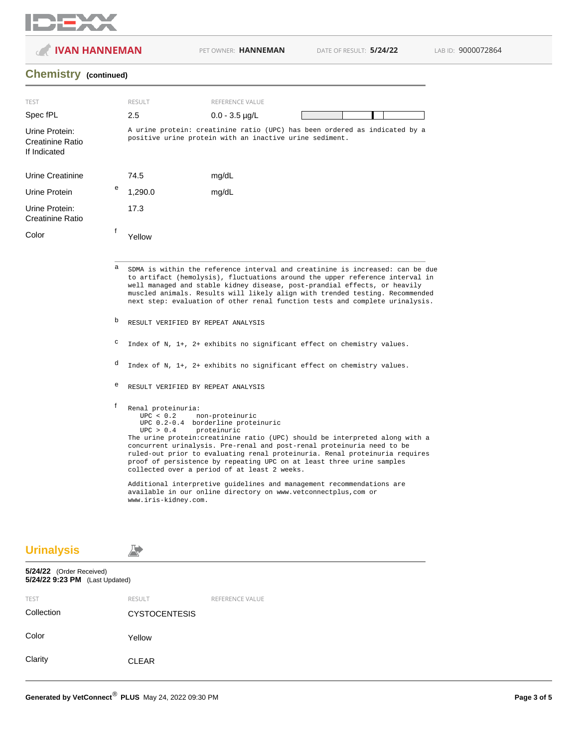

**IVAN HANNEMAN** PET OWNER: HANNEMAN DATE OF RESULT: **5/24/22** LAB ID: 9000072864

### **Chemistry (continued)**

| <b>TEST</b>                                        |   | <b>RESULT</b>                                                                                                                                                                                                                                                                                                                                                                                                                                    | REFERENCE VALUE                                                                                                                                                                                                                                                                                                                                                                                                                                                                                                                                                                    |  |  |  |  |
|----------------------------------------------------|---|--------------------------------------------------------------------------------------------------------------------------------------------------------------------------------------------------------------------------------------------------------------------------------------------------------------------------------------------------------------------------------------------------------------------------------------------------|------------------------------------------------------------------------------------------------------------------------------------------------------------------------------------------------------------------------------------------------------------------------------------------------------------------------------------------------------------------------------------------------------------------------------------------------------------------------------------------------------------------------------------------------------------------------------------|--|--|--|--|
| Spec fPL                                           |   | 2.5                                                                                                                                                                                                                                                                                                                                                                                                                                              | $0.0 - 3.5$ µg/L                                                                                                                                                                                                                                                                                                                                                                                                                                                                                                                                                                   |  |  |  |  |
| Urine Protein:<br>Creatinine Ratio<br>If Indicated |   | A urine protein: creatinine ratio (UPC) has been ordered as indicated by a<br>positive urine protein with an inactive urine sediment.                                                                                                                                                                                                                                                                                                            |                                                                                                                                                                                                                                                                                                                                                                                                                                                                                                                                                                                    |  |  |  |  |
| Urine Creatinine                                   |   | 74.5                                                                                                                                                                                                                                                                                                                                                                                                                                             | mg/dL                                                                                                                                                                                                                                                                                                                                                                                                                                                                                                                                                                              |  |  |  |  |
| Urine Protein                                      | e | 1,290.0                                                                                                                                                                                                                                                                                                                                                                                                                                          | mg/dL                                                                                                                                                                                                                                                                                                                                                                                                                                                                                                                                                                              |  |  |  |  |
| Urine Protein:<br>Creatinine Ratio                 |   | 17.3                                                                                                                                                                                                                                                                                                                                                                                                                                             |                                                                                                                                                                                                                                                                                                                                                                                                                                                                                                                                                                                    |  |  |  |  |
| Color                                              | f | Yellow                                                                                                                                                                                                                                                                                                                                                                                                                                           |                                                                                                                                                                                                                                                                                                                                                                                                                                                                                                                                                                                    |  |  |  |  |
|                                                    | b | SDMA is within the reference interval and creatinine is increased: can be due<br>to artifact (hemolysis), fluctuations around the upper reference interval in<br>well managed and stable kidney disease, post-prandial effects, or heavily<br>muscled animals. Results will likely align with trended testing. Recommended<br>next step: evaluation of other renal function tests and complete urinalysis.<br>RESULT VERIFIED BY REPEAT ANALYSIS |                                                                                                                                                                                                                                                                                                                                                                                                                                                                                                                                                                                    |  |  |  |  |
|                                                    | с | Index of N, 1+, 2+ exhibits no significant effect on chemistry values.                                                                                                                                                                                                                                                                                                                                                                           |                                                                                                                                                                                                                                                                                                                                                                                                                                                                                                                                                                                    |  |  |  |  |
|                                                    | d |                                                                                                                                                                                                                                                                                                                                                                                                                                                  | Index of N, 1+, 2+ exhibits no significant effect on chemistry values.                                                                                                                                                                                                                                                                                                                                                                                                                                                                                                             |  |  |  |  |
|                                                    | е |                                                                                                                                                                                                                                                                                                                                                                                                                                                  | RESULT VERIFIED BY REPEAT ANALYSIS                                                                                                                                                                                                                                                                                                                                                                                                                                                                                                                                                 |  |  |  |  |
|                                                    | f | Renal proteinuria:<br>UPC < 0.2<br>UPC > 0.4<br>www.iris-kidney.com.                                                                                                                                                                                                                                                                                                                                                                             | non-proteinuric<br>UPC 0.2-0.4 borderline proteinuric<br>proteinuric<br>The urine protein: creatinine ratio (UPC) should be interpreted along with a<br>concurrent urinalysis. Pre-renal and post-renal proteinuria need to be<br>ruled-out prior to evaluating renal proteinuria. Renal proteinuria requires<br>proof of persistence by repeating UPC on at least three urine samples<br>collected over a period of at least 2 weeks.<br>Additional interpretive guidelines and management recommendations are<br>available in our online directory on www.vetconnectplus, com or |  |  |  |  |

**Urinalysis**

A<sup>+</sup>

# **5/24/22** (Order Received) **5/24/22 9:23 PM** (Last Updated) TEST RESULT RESULT REFERENCE VALUE Collection CYSTOCENTESIS Color Yellow Clarity CLEAR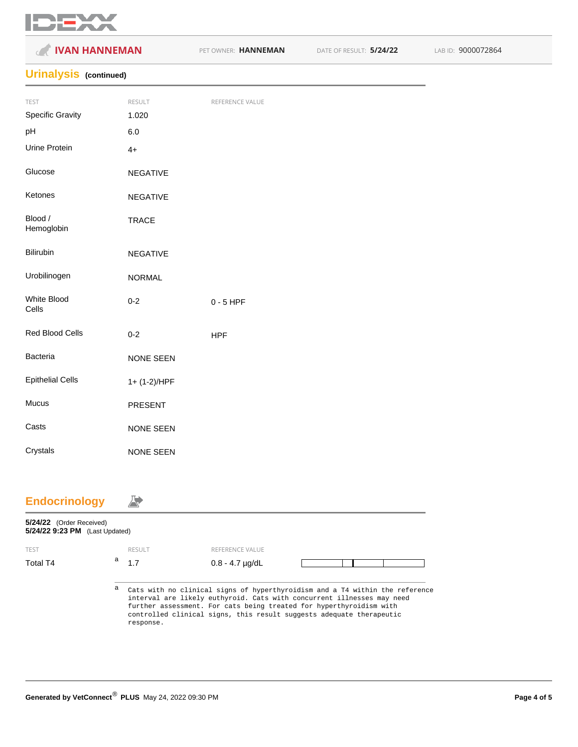

| <b>IVAN HANNEMAN</b><br>$\epsilon$ |                  | PET OWNER: HANNEMAN | DATE OF RESULT: 5/24/22 | LAB ID: 9000072864 |
|------------------------------------|------------------|---------------------|-------------------------|--------------------|
| <b>Urinalysis</b> (continued)      |                  |                     |                         |                    |
| TEST                               | RESULT           | REFERENCE VALUE     |                         |                    |
| <b>Specific Gravity</b>            | 1.020            |                     |                         |                    |
| pH                                 | $6.0\,$          |                     |                         |                    |
| Urine Protein                      | $4+$             |                     |                         |                    |
| Glucose                            | <b>NEGATIVE</b>  |                     |                         |                    |
| Ketones                            | <b>NEGATIVE</b>  |                     |                         |                    |
| Blood /<br>Hemoglobin              | <b>TRACE</b>     |                     |                         |                    |
| Bilirubin                          | <b>NEGATIVE</b>  |                     |                         |                    |
| Urobilinogen                       | <b>NORMAL</b>    |                     |                         |                    |
| White Blood<br>Cells               | $0 - 2$          | $0 - 5$ HPF         |                         |                    |
| Red Blood Cells                    | $0 - 2$          | <b>HPF</b>          |                         |                    |
| Bacteria                           | NONE SEEN        |                     |                         |                    |
| <b>Epithelial Cells</b>            | 1+ (1-2)/HPF     |                     |                         |                    |
| Mucus                              | PRESENT          |                     |                         |                    |
| Casts                              | NONE SEEN        |                     |                         |                    |
| Crystals                           | <b>NONE SEEN</b> |                     |                         |                    |

### **Endocrinology**

| 5/24/22 (Order Received)<br>5/24/22 9:23 PM (Last Updated) |   |               |                                                                                                                                                                                                                                                                                                       |  |  |
|------------------------------------------------------------|---|---------------|-------------------------------------------------------------------------------------------------------------------------------------------------------------------------------------------------------------------------------------------------------------------------------------------------------|--|--|
| <b>TEST</b>                                                |   | <b>RESULT</b> | REFERENCE VALUE                                                                                                                                                                                                                                                                                       |  |  |
| Total T4                                                   | a | 1.7           | $0.8 - 4.7$ $\mu$ g/dL                                                                                                                                                                                                                                                                                |  |  |
|                                                            | а | response.     | Cats with no clinical signs of hyperthyroidism and a T4 within the reference<br>interval are likely euthyroid. Cats with concurrent illnesses may need<br>further assessment. For cats being treated for hyperthyroidism with<br>controlled clinical signs, this result suggests adequate therapeutic |  |  |

 $\overrightarrow{A}$